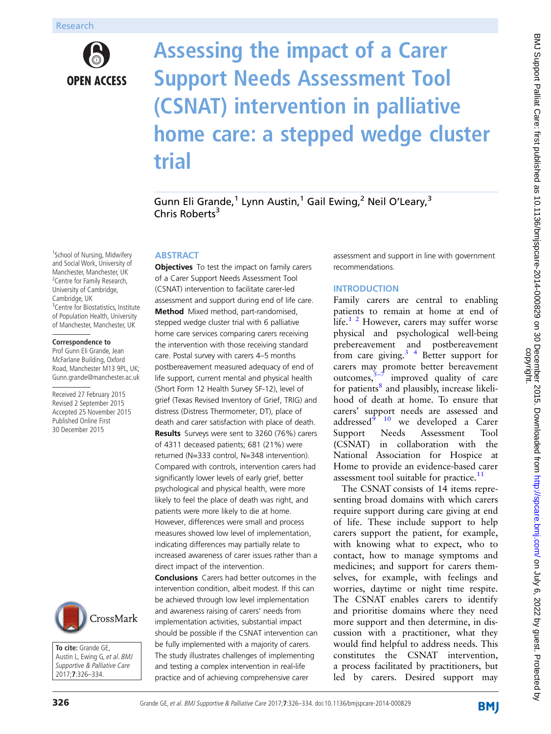

# Assessing the impact of a Carer Support Needs Assessment Tool (CSNAT) intervention in palliative home care: a stepped wedge cluster trial

Gunn Eli Grande,<sup>1</sup> Lynn Austin,<sup>1</sup> Gail Ewing,<sup>2</sup> Neil O'Leary,<sup>3</sup> Chris Roberts<sup>3</sup>

#### **ABSTRACT**

**Objectives** To test the impact on family carers of a Carer Support Needs Assessment Tool (CSNAT) intervention to facilitate carer-led assessment and support during end of life care. Method Mixed method, part-randomised, stepped wedge cluster trial with 6 palliative home care services comparing carers receiving the intervention with those receiving standard care. Postal survey with carers 4–5 months postbereavement measured adequacy of end of life support, current mental and physical health (Short Form 12 Health Survey SF-12), level of grief (Texas Revised Inventory of Grief, TRIG) and distress (Distress Thermometer, DT), place of death and carer satisfaction with place of death. Results Surveys were sent to 3260 (76%) carers of 4311 deceased patients; 681 (21%) were returned (N=333 control, N=348 intervention). Compared with controls, intervention carers had significantly lower levels of early grief, better psychological and physical health, were more likely to feel the place of death was right, and patients were more likely to die at home. However, differences were small and process measures showed low level of implementation, indicating differences may partially relate to increased awareness of carer issues rather than a direct impact of the intervention.

Conclusions Carers had better outcomes in the intervention condition, albeit modest. If this can be achieved through low level implementation and awareness raising of carers' needs from implementation activities, substantial impact should be possible if the CSNAT intervention can be fully implemented with a majority of carers. The study illustrates challenges of implementing and testing a complex intervention in real-life practice and of achieving comprehensive carer

assessment and support in line with government recommendations.

# **INTRODUCTION**

Family carers are central to enabling patients to remain at home at end of life.<sup>[1 2](#page-7-0)</sup> However, carers may suffer worse physical and psychological well-being prebereavement and postbereavement from care giving.<sup>3</sup> <sup>4</sup> Better support for carers may promote better bereavement outcomes, $5-7$  $5-7$  improved quality of care for patients $\frac{8}{3}$  $\frac{8}{3}$  $\frac{8}{3}$  and plausibly, increase likelihood of death at home. To ensure that carers' support needs are assessed and addressed $9^{10}$  we developed a Carer Support Needs Assessment Tool (CSNAT) in collaboration with the National Association for Hospice at Home to provide an evidence-based carer assessment tool suitable for practice.<sup>[11](#page-8-0)</sup>

The CSNAT consists of 14 items representing broad domains with which carers require support during care giving at end of life. These include support to help carers support the patient, for example, with knowing what to expect, who to contact, how to manage symptoms and medicines; and support for carers themselves, for example, with feelings and worries, daytime or night time respite. The CSNAT enables carers to identify and prioritise domains where they need more support and then determine, in discussion with a practitioner, what they would find helpful to address needs. This constitutes the CSNAT intervention, a process facilitated by practitioners, but led by carers. Desired support may

<sup>1</sup>School of Nursing, Midwifery and Social Work, University of Manchester, Manchester, UK <sup>2</sup> Centre for Family Research, University of Cambridge, Cambridge, UK <sup>3</sup> Centre for Biostatistics, Institute of Population Health, University of Manchester, Manchester, UK

#### **Correspondence to**

Prof Gunn Eli Grande, Jean McFarlane Building, Oxford Road, Manchester M13 9PL, UK; Gunn.grande@manchester.ac.uk

Received 27 February 2015 Revised 2 September 2015 Accepted 25 November 2015 Published Online First 30 December 2015



**To cite:** Grande GE, Austin L, Ewing G, et al. BMJ Supportive & Palliative Care 2017;**7**:326–334.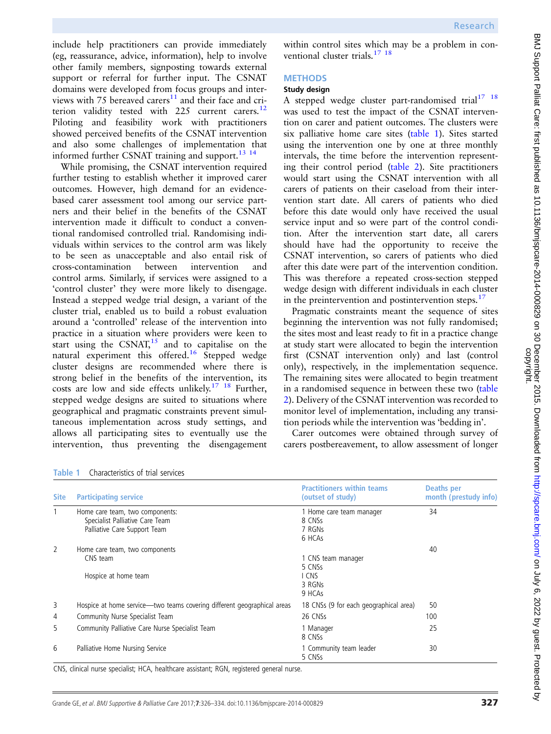include help practitioners can provide immediately (eg, reassurance, advice, information), help to involve other family members, signposting towards external support or referral for further input. The CSNAT domains were developed from focus groups and interviews with 75 bereaved carers $11$  and their face and cri-terion validity tested with 225 current carers.<sup>[12](#page-8-0)</sup> Piloting and feasibility work with practitioners showed perceived benefits of the CSNAT intervention and also some challenges of implementation that informed further CSNAT training and support.<sup>[13 14](#page-8-0)</sup>

While promising, the CSNAT intervention required further testing to establish whether it improved carer outcomes. However, high demand for an evidencebased carer assessment tool among our service partners and their belief in the benefits of the CSNAT intervention made it difficult to conduct a conventional randomised controlled trial. Randomising individuals within services to the control arm was likely to be seen as unacceptable and also entail risk of cross-contamination between intervention and control arms. Similarly, if services were assigned to a 'control cluster' they were more likely to disengage. Instead a stepped wedge trial design, a variant of the cluster trial, enabled us to build a robust evaluation around a 'controlled' release of the intervention into practice in a situation where providers were keen to start using the  $CSNAT$ <sup>[15](#page-8-0)</sup> and to capitalise on the natural experiment this offered.<sup>[16](#page-8-0)</sup> Stepped wedge cluster designs are recommended where there is strong belief in the benefits of the intervention, its costs are low and side effects unlikely.<sup>[17 18](#page-8-0)</sup> Further, stepped wedge designs are suited to situations where geographical and pragmatic constraints prevent simultaneous implementation across study settings, and allows all participating sites to eventually use the intervention, thus preventing the disengagement within control sites which may be a problem in conventional cluster trials.<sup>17</sup><sup>18</sup>

# **METHODS**

## Study design

A stepped wedge cluster part-randomised trial $17^{18}$ was used to test the impact of the CSNAT intervention on carer and patient outcomes. The clusters were six palliative home care sites (table 1). Sites started using the intervention one by one at three monthly intervals, the time before the intervention representing their control period [\(table 2](#page-2-0)). Site practitioners would start using the CSNAT intervention with all carers of patients on their caseload from their intervention start date. All carers of patients who died before this date would only have received the usual service input and so were part of the control condition. After the intervention start date, all carers should have had the opportunity to receive the CSNAT intervention, so carers of patients who died after this date were part of the intervention condition. This was therefore a repeated cross-section stepped wedge design with different individuals in each cluster in the preintervention and postintervention steps. $17$ 

Pragmatic constraints meant the sequence of sites beginning the intervention was not fully randomised; the sites most and least ready to fit in a practice change at study start were allocated to begin the intervention first (CSNAT intervention only) and last (control only), respectively, in the implementation sequence. The remaining sites were allocated to begin treatment in a randomised sequence in between these two [\(table](#page-2-0) [2](#page-2-0)). Delivery of the CSNAT intervention was recorded to monitor level of implementation, including any transition periods while the intervention was 'bedding in'.

Carer outcomes were obtained through survey of carers postbereavement, to allow assessment of longer

|             | כווטוטכנכווטנוכט טו נווטו טכו זוככט                                                                |                                                           |                                            |  |  |  |  |
|-------------|----------------------------------------------------------------------------------------------------|-----------------------------------------------------------|--------------------------------------------|--|--|--|--|
| <b>Site</b> | <b>Participating service</b>                                                                       | <b>Practitioners within teams</b><br>(outset of study)    | <b>Deaths per</b><br>month (prestudy info) |  |  |  |  |
|             | Home care team, two components:<br>Specialist Palliative Care Team<br>Palliative Care Support Team | 1 Home care team manager<br>8 CNSs<br>7 RGNs<br>6 HCAs    | 34                                         |  |  |  |  |
| 2           | Home care team, two components<br>CNS team<br>Hospice at home team                                 | 1 CNS team manager<br>5 CNSs<br>I CNS<br>3 RGNs<br>9 HCAs | 40                                         |  |  |  |  |
| 3           | Hospice at home service—two teams covering different geographical areas                            | 18 CNSs (9 for each geographical area)                    | 50                                         |  |  |  |  |
| 4           | Community Nurse Specialist Team                                                                    | 26 CNSs                                                   | 100                                        |  |  |  |  |
| 5           | Community Palliative Care Nurse Specialist Team                                                    | 1 Manager<br>8 CNSs                                       | 25                                         |  |  |  |  |
| 6           | Palliative Home Nursing Service                                                                    | 1 Community team leader<br>5 CNSs                         | 30                                         |  |  |  |  |

CNS, clinical nurse specialist; HCA, healthcare assistant; RGN, registered general nurse.

Table 1 Characteristics of trial services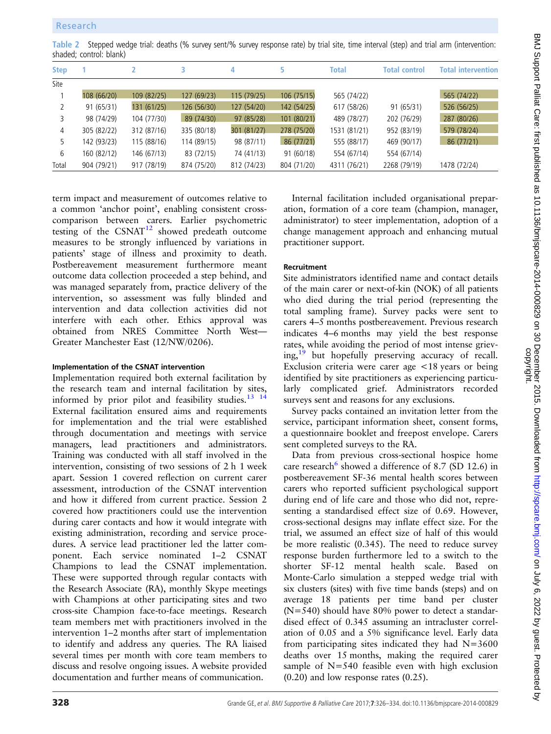<span id="page-2-0"></span>Table 2 Stepped wedge trial: deaths (% survey sent/% survey response rate) by trial site, time interval (step) and trial arm (intervention: shaded; control: blank)

| <b>Step</b> |             |             |             | 4           | 5           | <b>Total</b> | <b>Total control</b> | <b>Total intervention</b> |
|-------------|-------------|-------------|-------------|-------------|-------------|--------------|----------------------|---------------------------|
| Site        |             |             |             |             |             |              |                      |                           |
|             | 108 (66/20) | 109 (82/25) | 127 (69/23) | 115 (79/25) | 106 (75/15) | 565 (74/22)  |                      | 565 (74/22)               |
|             | 91 (65/31)  | 131(61/25)  | 126 (56/30) | 127 (54/20) | 142 (54/25) | 617 (58/26)  | 91 (65/31)           | 526 (56/25)               |
| 3           | 98 (74/29)  | 104 (77/30) | 89 (74/30)  | 97 (85/28)  | 101 (80/21) | 489 (78/27)  | 202 (76/29)          | 287 (80/26)               |
| 4           | 305 (82/22) | 312 (87/16) | 335 (80/18) | 301 (81/27) | 278 (75/20) | 1531 (81/21) | 952 (83/19)          | 579 (78/24)               |
| 5.          | 142 (93/23) | 115 (88/16) | 114 (89/15) | 98 (87/11)  | 86 (77/21)  | 555 (88/17)  | 469 (90/17)          | 86 (77/21)                |
| 6           | 160 (82/12) | 146 (67/13) | 83 (72/15)  | 74 (41/13)  | 91 (60/18)  | 554 (67/14)  | 554 (67/14)          |                           |
| Total       | 904 (79/21) | 917 (78/19) | 874 (75/20) | 812 (74/23) | 804 (71/20) | 4311 (76/21) | 2268 (79/19)         | 1478 (72/24)              |

term impact and measurement of outcomes relative to a common 'anchor point', enabling consistent crosscomparison between carers. Earlier psychometric testing of the  $CSNAT^{12}$  $CSNAT^{12}$  $CSNAT^{12}$  showed predeath outcome measures to be strongly influenced by variations in patients' stage of illness and proximity to death. Postbereavement measurement furthermore meant outcome data collection proceeded a step behind, and was managed separately from, practice delivery of the intervention, so assessment was fully blinded and intervention and data collection activities did not interfere with each other. Ethics approval was obtained from NRES Committee North West— Greater Manchester East (12/NW/0206).

### Implementation of the CSNAT intervention

Implementation required both external facilitation by the research team and internal facilitation by sites, informed by prior pilot and feasibility studies. $13 \tcdot 14$ External facilitation ensured aims and requirements for implementation and the trial were established through documentation and meetings with service managers, lead practitioners and administrators. Training was conducted with all staff involved in the intervention, consisting of two sessions of 2 h 1 week apart. Session 1 covered reflection on current carer assessment, introduction of the CSNAT intervention and how it differed from current practice. Session 2 covered how practitioners could use the intervention during carer contacts and how it would integrate with existing administration, recording and service procedures. A service lead practitioner led the latter component. Each service nominated 1–2 CSNAT Champions to lead the CSNAT implementation. These were supported through regular contacts with the Research Associate (RA), monthly Skype meetings with Champions at other participating sites and two cross-site Champion face-to-face meetings. Research team members met with practitioners involved in the intervention 1–2 months after start of implementation to identify and address any queries. The RA liaised several times per month with core team members to discuss and resolve ongoing issues. A website provided documentation and further means of communication.

Internal facilitation included organisational preparation, formation of a core team (champion, manager, administrator) to steer implementation, adoption of a change management approach and enhancing mutual practitioner support.

# Recruitment

Site administrators identified name and contact details of the main carer or next-of-kin (NOK) of all patients who died during the trial period (representing the total sampling frame). Survey packs were sent to carers 4–5 months postbereavement. Previous research indicates 4–6 months may yield the best response rates, while avoiding the period of most intense griev- $ing,19$  $ing,19$  but hopefully preserving accuracy of recall. Exclusion criteria were carer age <18 years or being identified by site practitioners as experiencing particularly complicated grief. Administrators recorded surveys sent and reasons for any exclusions.

Survey packs contained an invitation letter from the service, participant information sheet, consent forms, a questionnaire booklet and freepost envelope. Carers sent completed surveys to the RA.

Data from previous cross-sectional hospice home care research<sup>[6](#page-7-0)</sup> showed a difference of 8.7 (SD 12.6) in postbereavement SF-36 mental health scores between carers who reported sufficient psychological support during end of life care and those who did not, representing a standardised effect size of 0.69. However, cross-sectional designs may inflate effect size. For the trial, we assumed an effect size of half of this would be more realistic (0.345). The need to reduce survey response burden furthermore led to a switch to the shorter SF-12 mental health scale. Based on Monte-Carlo simulation a stepped wedge trial with six clusters (sites) with five time bands (steps) and on average 18 patients per time band per cluster  $(N=540)$  should have 80% power to detect a standardised effect of 0.345 assuming an intracluster correlation of 0.05 and a 5% significance level. Early data from participating sites indicated they had  $N=3600$ deaths over 15 months, making the required carer sample of  $N=540$  feasible even with high exclusion  $(0.20)$  and low response rates  $(0.25)$ .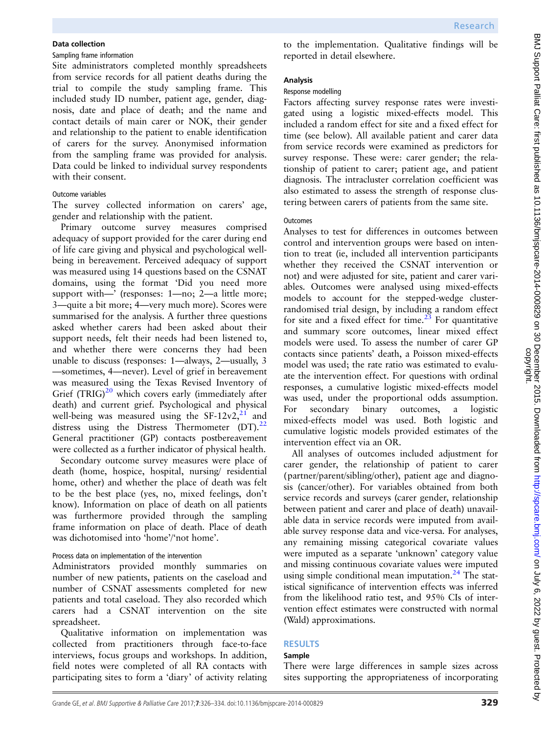#### Data collection

#### Sampling frame information

Site administrators completed monthly spreadsheets from service records for all patient deaths during the trial to compile the study sampling frame. This included study ID number, patient age, gender, diagnosis, date and place of death; and the name and contact details of main carer or NOK, their gender and relationship to the patient to enable identification of carers for the survey. Anonymised information from the sampling frame was provided for analysis. Data could be linked to individual survey respondents with their consent.

## Outcome variables

The survey collected information on carers' age, gender and relationship with the patient.

Primary outcome survey measures comprised adequacy of support provided for the carer during end of life care giving and physical and psychological wellbeing in bereavement. Perceived adequacy of support was measured using 14 questions based on the CSNAT domains, using the format 'Did you need more support with—' (responses: 1—no; 2—a little more; 3—quite a bit more; 4—very much more). Scores were summarised for the analysis. A further three questions asked whether carers had been asked about their support needs, felt their needs had been listened to, and whether there were concerns they had been unable to discuss (responses: 1—always, 2—usually, 3 —sometimes, 4—never). Level of grief in bereavement was measured using the Texas Revised Inventory of Grief  $(TRIG)^{20}$  $(TRIG)^{20}$  $(TRIG)^{20}$  which covers early (immediately after death) and current grief. Psychological and physical well-being was measured using the  $SF-12v2$ , and distress using the Distress Thermometer  $(DT)$ .<sup>[22](#page-8-0)</sup> General practitioner (GP) contacts postbereavement were collected as a further indicator of physical health.

Secondary outcome survey measures were place of death (home, hospice, hospital, nursing/ residential home, other) and whether the place of death was felt to be the best place (yes, no, mixed feelings, don't know). Information on place of death on all patients was furthermore provided through the sampling frame information on place of death. Place of death was dichotomised into 'home'/'not home'.

## Process data on implementation of the intervention

Administrators provided monthly summaries on number of new patients, patients on the caseload and number of CSNAT assessments completed for new patients and total caseload. They also recorded which carers had a CSNAT intervention on the site spreadsheet.

Qualitative information on implementation was collected from practitioners through face-to-face interviews, focus groups and workshops. In addition, field notes were completed of all RA contacts with participating sites to form a 'diary' of activity relating

to the implementation. Qualitative findings will be reported in detail elsewhere.

# Analysis

## Response modelling

Factors affecting survey response rates were investigated using a logistic mixed-effects model. This included a random effect for site and a fixed effect for time (see below). All available patient and carer data from service records were examined as predictors for survey response. These were: carer gender; the relationship of patient to carer; patient age, and patient diagnosis. The intracluster correlation coefficient was also estimated to assess the strength of response clustering between carers of patients from the same site.

## **Outcomes**

Analyses to test for differences in outcomes between control and intervention groups were based on intention to treat (ie, included all intervention participants whether they received the CSNAT intervention or not) and were adjusted for site, patient and carer variables. Outcomes were analysed using mixed-effects models to account for the stepped-wedge clusterrandomised trial design, by including a random effect for site and a fixed effect for time. $^{23}$  $^{23}$  $^{23}$  For quantitative and summary score outcomes, linear mixed effect models were used. To assess the number of carer GP contacts since patients' death, a Poisson mixed-effects model was used; the rate ratio was estimated to evaluate the intervention effect. For questions with ordinal responses, a cumulative logistic mixed-effects model was used, under the proportional odds assumption. For secondary binary outcomes, a logistic mixed-effects model was used. Both logistic and cumulative logistic models provided estimates of the intervention effect via an OR.

All analyses of outcomes included adjustment for carer gender, the relationship of patient to carer (partner/parent/sibling/other), patient age and diagnosis (cancer/other). For variables obtained from both service records and surveys (carer gender, relationship between patient and carer and place of death) unavailable data in service records were imputed from available survey response data and vice-versa. For analyses, any remaining missing categorical covariate values were imputed as a separate 'unknown' category value and missing continuous covariate values were imputed using simple conditional mean imputation.<sup>24</sup> The statistical significance of intervention effects was inferred from the likelihood ratio test, and 95% CIs of intervention effect estimates were constructed with normal (Wald) approximations.

# **RESULTS**

## Sample

There were large differences in sample sizes across sites supporting the appropriateness of incorporating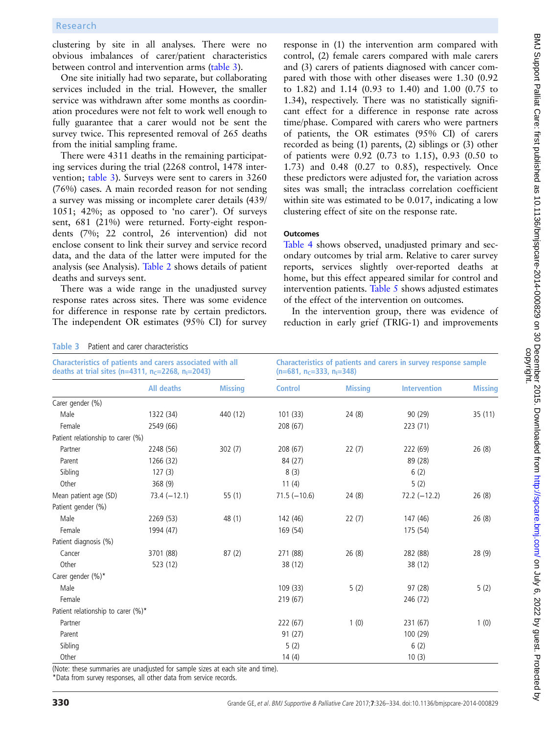<span id="page-4-0"></span>clustering by site in all analyses. There were no obvious imbalances of carer/patient characteristics between control and intervention arms (table 3).

One site initially had two separate, but collaborating services included in the trial. However, the smaller service was withdrawn after some months as coordination procedures were not felt to work well enough to fully guarantee that a carer would not be sent the survey twice. This represented removal of 265 deaths from the initial sampling frame.

There were 4311 deaths in the remaining participating services during the trial (2268 control, 1478 intervention; table 3). Surveys were sent to carers in 3260 (76%) cases. A main recorded reason for not sending a survey was missing or incomplete carer details (439/ 1051; 42%; as opposed to 'no carer'). Of surveys sent, 681 (21%) were returned. Forty-eight respondents (7%; 22 control, 26 intervention) did not enclose consent to link their survey and service record data, and the data of the latter were imputed for the analysis (see Analysis). [Table 2](#page-2-0) shows details of patient deaths and surveys sent.

There was a wide range in the unadjusted survey response rates across sites. There was some evidence for difference in response rate by certain predictors. The independent OR estimates (95% CI) for survey

response in (1) the intervention arm compared with control, (2) female carers compared with male carers and (3) carers of patients diagnosed with cancer compared with those with other diseases were 1.30 (0.92 to 1.82) and 1.14 (0.93 to 1.40) and 1.00 (0.75 to 1.34), respectively. There was no statistically significant effect for a difference in response rate across time/phase. Compared with carers who were partners of patients, the OR estimates (95% CI) of carers recorded as being (1) parents, (2) siblings or (3) other of patients were 0.92 (0.73 to 1.15), 0.93 (0.50 to 1.73) and 0.48 (0.27 to 0.85), respectively. Once these predictors were adjusted for, the variation across sites was small; the intraclass correlation coefficient within site was estimated to be 0.017, indicating a low clustering effect of site on the response rate.

#### Outcomes

[Table 4](#page-5-0) shows observed, unadjusted primary and secondary outcomes by trial arm. Relative to carer survey reports, services slightly over-reported deaths at home, but this effect appeared similar for control and intervention patients. [Table 5](#page-6-0) shows adjusted estimates of the effect of the intervention on outcomes.

In the intervention group, there was evidence of reduction in early grief (TRIG-1) and improvements

| Characteristics of patients and carers associated with all<br>deaths at trial sites (n=4311, $n_c$ =2268, $n_l$ =2043) |                   |                | Characteristics of patients and carers in survey response sample<br>$(n=681, nc=333, nl=348)$ |                |                     |                |  |
|------------------------------------------------------------------------------------------------------------------------|-------------------|----------------|-----------------------------------------------------------------------------------------------|----------------|---------------------|----------------|--|
|                                                                                                                        | <b>All deaths</b> | <b>Missing</b> | <b>Control</b>                                                                                | <b>Missing</b> | <b>Intervention</b> | <b>Missing</b> |  |
| Carer gender (%)                                                                                                       |                   |                |                                                                                               |                |                     |                |  |
| Male                                                                                                                   | 1322 (34)         | 440 (12)       | 101 (33)                                                                                      | 24(8)          | 90 (29)             | 35(11)         |  |
| Female                                                                                                                 | 2549 (66)         |                | 208 (67)                                                                                      |                | 223 (71)            |                |  |
| Patient relationship to carer (%)                                                                                      |                   |                |                                                                                               |                |                     |                |  |
| Partner                                                                                                                | 2248 (56)         | 302(7)         | 208 (67)                                                                                      | 22(7)          | 222 (69)            | 26(8)          |  |
| Parent                                                                                                                 | 1266 (32)         |                | 84 (27)                                                                                       |                | 89 (28)             |                |  |
| Sibling                                                                                                                | 127(3)            |                | 8(3)                                                                                          |                | 6(2)                |                |  |
| Other                                                                                                                  | 368(9)            |                | 11(4)                                                                                         |                | 5(2)                |                |  |
| Mean patient age (SD)                                                                                                  | $73.4 (-12.1)$    | 55(1)          | $71.5 (-10.6)$                                                                                | 24(8)          | $72.2 (-12.2)$      | 26(8)          |  |
| Patient gender (%)                                                                                                     |                   |                |                                                                                               |                |                     |                |  |
| Male                                                                                                                   | 2269 (53)         | 48 (1)         | 142 (46)                                                                                      | 22(7)          | 147 (46)            | 26(8)          |  |
| Female                                                                                                                 | 1994 (47)         |                | 169 (54)                                                                                      |                | 175 (54)            |                |  |
| Patient diagnosis (%)                                                                                                  |                   |                |                                                                                               |                |                     |                |  |
| Cancer                                                                                                                 | 3701 (88)         | 87(2)          | 271 (88)                                                                                      | 26(8)          | 282 (88)            | 28(9)          |  |
| Other                                                                                                                  | 523 (12)          |                | 38 (12)                                                                                       |                | 38 (12)             |                |  |
| Carer gender (%)*                                                                                                      |                   |                |                                                                                               |                |                     |                |  |
| Male                                                                                                                   |                   |                | 109(33)                                                                                       | 5(2)           | 97 (28)             | 5(2)           |  |
| Female                                                                                                                 |                   |                | 219 (67)                                                                                      |                | 246 (72)            |                |  |
| Patient relationship to carer (%)*                                                                                     |                   |                |                                                                                               |                |                     |                |  |
| Partner                                                                                                                |                   |                | 222 (67)                                                                                      | 1(0)           | 231 (67)            | 1(0)           |  |
| Parent                                                                                                                 |                   |                | 91(27)                                                                                        |                | 100 (29)            |                |  |
| Sibling                                                                                                                |                   |                | 5(2)                                                                                          |                | 6(2)                |                |  |
| Other                                                                                                                  |                   |                | 14(4)                                                                                         |                | 10(3)               |                |  |

Table 3 Patient and carer characteristics

(Note: these summaries are unadjusted for sample sizes at each site and time).

\*Data from survey responses, all other data from service records.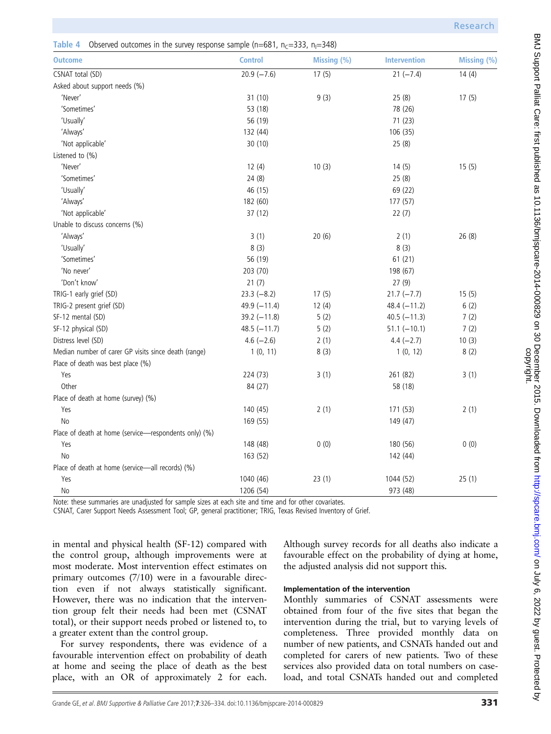<span id="page-5-0"></span>

| Observed outcomes in the survey response sample (n=681, $n_c$ =333, $n_i$ =348)<br>Table 4 |                |             |                     |             |  |  |
|--------------------------------------------------------------------------------------------|----------------|-------------|---------------------|-------------|--|--|
| <b>Outcome</b>                                                                             | <b>Control</b> | Missing (%) | <b>Intervention</b> | Missing (%) |  |  |
| CSNAT total (SD)                                                                           | $20.9(-7.6)$   | 17(5)       | $21 (-7.4)$         | 14(4)       |  |  |
| Asked about support needs (%)                                                              |                |             |                     |             |  |  |
| 'Never'                                                                                    | 31 (10)        | 9(3)        | 25(8)               | 17(5)       |  |  |
| 'Sometimes'                                                                                | 53 (18)        |             | 78 (26)             |             |  |  |
| 'Usually'                                                                                  | 56 (19)        |             | 71(23)              |             |  |  |
| 'Always'                                                                                   | 132 (44)       |             | 106 (35)            |             |  |  |
| 'Not applicable'                                                                           | 30 (10)        |             | 25(8)               |             |  |  |
| Listened to (%)                                                                            |                |             |                     |             |  |  |
| 'Never'                                                                                    | 12(4)          | 10(3)       | 14(5)               | 15(5)       |  |  |
| 'Sometimes'                                                                                | 24(8)          |             | 25(8)               |             |  |  |
| 'Usually'                                                                                  | 46 (15)        |             | 69 (22)             |             |  |  |
| 'Always'                                                                                   | 182 (60)       |             | 177 (57)            |             |  |  |
| 'Not applicable'                                                                           | 37 (12)        |             | 22(7)               |             |  |  |
| Unable to discuss concerns (%)                                                             |                |             |                     |             |  |  |
| 'Always'                                                                                   | 3(1)           | 20(6)       | 2(1)                | 26(8)       |  |  |
| 'Usually'                                                                                  | 8(3)           |             | 8(3)                |             |  |  |
| 'Sometimes'                                                                                | 56 (19)        |             | 61(21)              |             |  |  |
| 'No never'                                                                                 | 203 (70)       |             | 198 (67)            |             |  |  |
| 'Don't know'                                                                               | 21(7)          |             | 27(9)               |             |  |  |
| TRIG-1 early grief (SD)                                                                    | $23.3 (-8.2)$  | 17(5)       | $21.7 (-7.7)$       | 15(5)       |  |  |
| TRIG-2 present grief (SD)                                                                  | 49.9 $(-11.4)$ | 12(4)       | $48.4 (-11.2)$      | 6(2)        |  |  |
| SF-12 mental (SD)                                                                          | $39.2$ (-11.8) | 5(2)        | $40.5$ $(-11.3)$    | 7(2)        |  |  |
| SF-12 physical (SD)                                                                        | $48.5$ (-11.7) | 5(2)        | $51.1 (-10.1)$      | 7(2)        |  |  |
| Distress level (SD)                                                                        | $4.6$ (-2.6)   | 2(1)        | $4.4 (-2.7)$        | 10(3)       |  |  |
| Median number of carer GP visits since death (range)                                       | 1(0, 11)       | 8(3)        | 1(0, 12)            | 8(2)        |  |  |
| Place of death was best place (%)                                                          |                |             |                     |             |  |  |
| Yes                                                                                        | 224 (73)       | 3(1)        | 261 (82)            | 3(1)        |  |  |
| Other                                                                                      | 84 (27)        |             | 58 (18)             |             |  |  |
| Place of death at home (survey) (%)                                                        |                |             |                     |             |  |  |
| Yes                                                                                        | 140 (45)       | 2(1)        | 171 (53)            | 2(1)        |  |  |
| <b>No</b>                                                                                  | 169 (55)       |             | 149 (47)            |             |  |  |
| Place of death at home (service-respondents only) (%)                                      |                |             |                     |             |  |  |
| Yes                                                                                        | 148 (48)       | 0(0)        | 180 (56)            | 0(0)        |  |  |
| <b>No</b>                                                                                  | 163(52)        |             | 142 (44)            |             |  |  |
| Place of death at home (service-all records) (%)                                           |                |             |                     |             |  |  |
| Yes                                                                                        | 1040 (46)      | 23(1)       | 1044 (52)           | 25(1)       |  |  |
| <b>No</b>                                                                                  | 1206 (54)      |             | 973 (48)            |             |  |  |

Note: these summaries are unadjusted for sample sizes at each site and time and for other covariates.

CSNAT, Carer Support Needs Assessment Tool; GP, general practitioner; TRIG, Texas Revised Inventory of Grief.

in mental and physical health (SF-12) compared with the control group, although improvements were at most moderate. Most intervention effect estimates on primary outcomes (7/10) were in a favourable direction even if not always statistically significant. However, there was no indication that the intervention group felt their needs had been met (CSNAT total), or their support needs probed or listened to, to a greater extent than the control group.

For survey respondents, there was evidence of a favourable intervention effect on probability of death at home and seeing the place of death as the best place, with an OR of approximately 2 for each.

Although survey records for all deaths also indicate a favourable effect on the probability of dying at home, the adjusted analysis did not support this.

#### Implementation of the intervention

Monthly summaries of CSNAT assessments were obtained from four of the five sites that began the intervention during the trial, but to varying levels of completeness. Three provided monthly data on number of new patients, and CSNATs handed out and completed for carers of new patients. Two of these services also provided data on total numbers on caseload, and total CSNATs handed out and completed

BMJ Support Palliat Care: first published as 10.1136/bmjspcare-2014-000829 on 30 December 2015. Downloaded from<br>copyright.com/on July 6, 2022 by guest. Protected as 10.1136/bmjspcare-2014-000829 on 30 December 2015. Downlo BMJ Support Palliat Care: first published as 10.1136/bmjspcare-2014-000829 on 30 December 2015. Downloaded from Intp://spcare.bmj.com/ on July 6, 2022 by guest. Protected by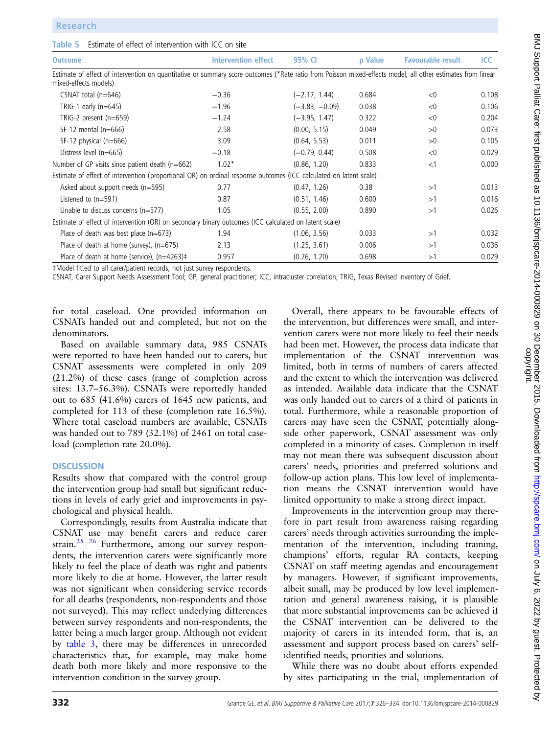<span id="page-6-0"></span>

| <b>Outcome</b>                                                                                                                                                                       | <b>Intervention effect</b> | 95% CI           | p Value | <b>Favourable result</b> | ICC   |
|--------------------------------------------------------------------------------------------------------------------------------------------------------------------------------------|----------------------------|------------------|---------|--------------------------|-------|
| Estimate of effect of intervention on quantitative or summary score outcomes (*Rate ratio from Poisson mixed-effects model, all other estimates from linear<br>mixed-effects models) |                            |                  |         |                          |       |
| CSNAT total $(n=646)$                                                                                                                                                                | $-0.36$                    | $(-2.17, 1.44)$  | 0.684   | < 0                      | 0.108 |
| TRIG-1 early $(n=645)$                                                                                                                                                               | $-1.96$                    | $(-3.83, -0.09)$ | 0.038   | < 0                      | 0.106 |
| TRIG-2 present $(n=659)$                                                                                                                                                             | $-1.24$                    | $(-3.95, 1.47)$  | 0.322   | < 0                      | 0.204 |
| SF-12 mental $(n=666)$                                                                                                                                                               | 2.58                       | (0.00, 5.15)     | 0.049   | >0                       | 0.073 |
| SF-12 physical ( $n=666$ )                                                                                                                                                           | 3.09                       | (0.64, 5.53)     | 0.011   | >0                       | 0.105 |
| Distress level (n=665)                                                                                                                                                               | $-0.18$                    | $(-0.79, 0.44)$  | 0.508   | < 0                      | 0.029 |
| Number of GP visits since patient death ( $n=662$ )                                                                                                                                  | $1.02*$                    | (0.86, 1.20)     | 0.833   | $<$ 1                    | 0.000 |
| Estimate of effect of intervention (proportional OR) on ordinal response outcomes (ICC calculated on latent scale)                                                                   |                            |                  |         |                          |       |
| Asked about support needs (n=595)                                                                                                                                                    | 0.77                       | (0.47, 1.26)     | 0.38    | >1                       | 0.013 |
| Listened to $(n=591)$                                                                                                                                                                | 0.87                       | (0.51, 1.46)     | 0.600   | >1                       | 0.016 |
| Unable to discuss concerns $(n=577)$                                                                                                                                                 | 1.05                       | (0.55, 2.00)     | 0.890   | >1                       | 0.026 |
| Estimate of effect of intervention (OR) on secondary binary outcomes (ICC calculated on latent scale)                                                                                |                            |                  |         |                          |       |
| Place of death was best place $(n=673)$                                                                                                                                              | 1.94                       | (1.06, 3.56)     | 0.033   | >1                       | 0.032 |
| Place of death at home (survey), $(n=675)$                                                                                                                                           | 2.13                       | (1.25, 3.61)     | 0.006   | >1                       | 0.036 |
| Place of death at home (service), $(n=4263)$ #                                                                                                                                       | 0.957                      | (0.76, 1.20)     | 0.698   | >1                       | 0.029 |

‡Model fitted to all carer/patient records, not just survey respondents.

CSNAT, Carer Support Needs Assessment Tool; GP, general practitioner; ICC, intracluster correlation; TRIG, Texas Revised Inventory of Grief.

for total caseload. One provided information on CSNATs handed out and completed, but not on the denominators.

Based on available summary data, 985 CSNATs were reported to have been handed out to carers, but CSNAT assessments were completed in only 209 (21.2%) of these cases (range of completion across sites: 13.7–56.3%). CSNATs were reportedly handed out to 685 (41.6%) carers of 1645 new patients, and completed for 113 of these (completion rate 16.5%). Where total caseload numbers are available, CSNATs was handed out to 789 (32.1%) of 2461 on total caseload (completion rate 20.0%).

#### **DISCUSSION**

Research

Results show that compared with the control group the intervention group had small but significant reductions in levels of early grief and improvements in psychological and physical health.

Correspondingly, results from Australia indicate that CSNAT use may benefit carers and reduce carer strain.<sup>25</sup> <sup>26</sup> Furthermore, among our survey respondents, the intervention carers were significantly more likely to feel the place of death was right and patients more likely to die at home. However, the latter result was not significant when considering service records for all deaths (respondents, non-respondents and those not surveyed). This may reflect underlying differences between survey respondents and non-respondents, the latter being a much larger group. Although not evident by [table 3](#page-4-0), there may be differences in unrecorded characteristics that, for example, may make home death both more likely and more responsive to the intervention condition in the survey group.

Overall, there appears to be favourable effects of the intervention, but differences were small, and intervention carers were not more likely to feel their needs had been met. However, the process data indicate that implementation of the CSNAT intervention was limited, both in terms of numbers of carers affected and the extent to which the intervention was delivered as intended. Available data indicate that the CSNAT was only handed out to carers of a third of patients in total. Furthermore, while a reasonable proportion of carers may have seen the CSNAT, potentially alongside other paperwork, CSNAT assessment was only completed in a minority of cases. Completion in itself may not mean there was subsequent discussion about carers' needs, priorities and preferred solutions and follow-up action plans. This low level of implementation means the CSNAT intervention would have limited opportunity to make a strong direct impact.

Improvements in the intervention group may therefore in part result from awareness raising regarding carers' needs through activities surrounding the implementation of the intervention, including training, champions' efforts, regular RA contacts, keeping CSNAT on staff meeting agendas and encouragement by managers. However, if significant improvements, albeit small, may be produced by low level implementation and general awareness raising, it is plausible that more substantial improvements can be achieved if the CSNAT intervention can be delivered to the majority of carers in its intended form, that is, an assessment and support process based on carers' selfidentified needs, priorities and solutions.

While there was no doubt about efforts expended by sites participating in the trial, implementation of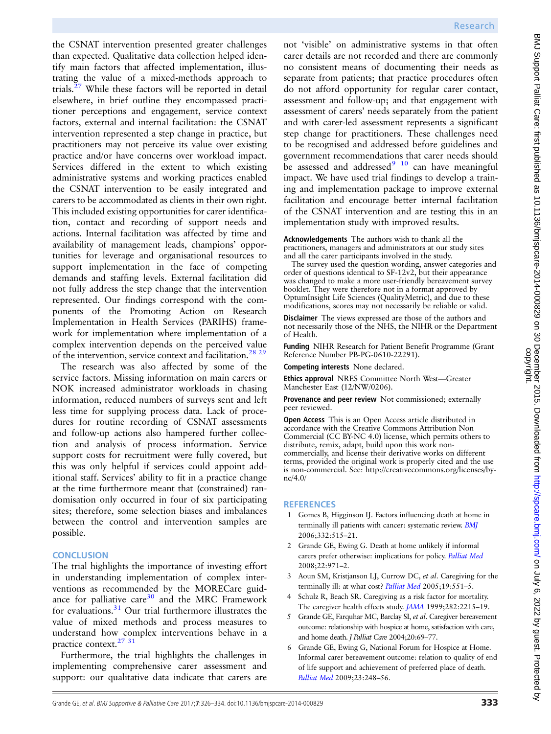<span id="page-7-0"></span>the CSNAT intervention presented greater challenges than expected. Qualitative data collection helped identify main factors that affected implementation, illustrating the value of a mixed-methods approach to trials. $27$  While these factors will be reported in detail elsewhere, in brief outline they encompassed practitioner perceptions and engagement, service context factors, external and internal facilitation: the CSNAT intervention represented a step change in practice, but practitioners may not perceive its value over existing practice and/or have concerns over workload impact. Services differed in the extent to which existing administrative systems and working practices enabled the CSNAT intervention to be easily integrated and carers to be accommodated as clients in their own right. This included existing opportunities for carer identification, contact and recording of support needs and actions. Internal facilitation was affected by time and availability of management leads, champions' opportunities for leverage and organisational resources to support implementation in the face of competing demands and staffing levels. External facilitation did not fully address the step change that the intervention represented. Our findings correspond with the components of the Promoting Action on Research Implementation in Health Services (PARIHS) framework for implementation where implementation of a complex intervention depends on the perceived value of the intervention, service context and facilitation.<sup>28</sup><sup>29</sup>

The research was also affected by some of the service factors. Missing information on main carers or NOK increased administrator workloads in chasing information, reduced numbers of surveys sent and left less time for supplying process data. Lack of procedures for routine recording of CSNAT assessments and follow-up actions also hampered further collection and analysis of process information. Service support costs for recruitment were fully covered, but this was only helpful if services could appoint additional staff. Services' ability to fit in a practice change at the time furthermore meant that (constrained) randomisation only occurred in four of six participating sites; therefore, some selection biases and imbalances between the control and intervention samples are possible.

#### **CONCLUSION**

The trial highlights the importance of investing effort in understanding implementation of complex interventions as recommended by the MORECare guid-ance for palliative care<sup>[30](#page-8-0)</sup> and the MRC Framework for evaluations.[31](#page-8-0) Our trial furthermore illustrates the value of mixed methods and process measures to understand how complex interventions behave in a practice context.<sup>27</sup> 31

Furthermore, the trial highlights the challenges in implementing comprehensive carer assessment and support: our qualitative data indicate that carers are

not 'visible' on administrative systems in that often carer details are not recorded and there are commonly no consistent means of documenting their needs as separate from patients; that practice procedures often do not afford opportunity for regular carer contact, assessment and follow-up; and that engagement with assessment of carers' needs separately from the patient and with carer-led assessment represents a significant step change for practitioners. These challenges need to be recognised and addressed before guidelines and government recommendations that carer needs should be assessed and addressed $9\frac{10}{2}$  can have meaningful impact. We have used trial findings to develop a training and implementation package to improve external facilitation and encourage better internal facilitation of the CSNAT intervention and are testing this in an implementation study with improved results.

Acknowledgements The authors wish to thank all the practitioners, managers and administrators at our study sites and all the carer participants involved in the study.

The survey used the question wording, answer categories and order of questions identical to SF-12v2, but their appearance was changed to make a more user-friendly bereavement survey booklet. They were therefore not in a format approved by OptumInsight Life Sciences (QualityMetric), and due to these modifications, scores may not necessarily be reliable or valid.

Disclaimer The views expressed are those of the authors and not necessarily those of the NHS, the NIHR or the Department of Health.

Funding NIHR Research for Patient Benefit Programme (Grant Reference Number PB-PG-0610-22291).

Competing interests None declared.

Ethics approval NRES Committee North West—Greater Manchester East (12/NW/0206).

Provenance and peer review Not commissioned; externally peer reviewed.

Open Access This is an Open Access article distributed in accordance with the Creative Commons Attribution Non Commercial (CC BY-NC 4.0) license, which permits others to distribute, remix, adapt, build upon this work noncommercially, and license their derivative works on different terms, provided the original work is properly cited and the use is non-commercial. See: [http://creativecommons.org/licenses/by](http://creativecommons.org/licenses/by-nc/4.0/)[nc/4.0/](http://creativecommons.org/licenses/by-nc/4.0/)

#### **REFERENCES**

- 1 Gomes B, Higginson IJ. Factors influencing death at home in terminally ill patients with cancer: systematic review. [BMJ](http://dx.doi.org/10.1136/bmj.38740.614954.55) 2006;332:515–21.
- 2 Grande GE, Ewing G. Death at home unlikely if informal carers prefer otherwise: implications for policy. [Palliat Med](http://dx.doi.org/10.1177/0269216308098805) 2008;22:971–2.
- 3 Aoun SM, Kristjanson LJ, Currow DC, et al. Caregiving for the terminally ill: at what cost? [Palliat Med](http://dx.doi.org/10.1191/0269216305pm1053oa) 2005;19:551-5.
- 4 Schulz R, Beach SR. Caregiving as a risk factor for mortality. The caregiver health effects study. [JAMA](http://dx.doi.org/10.1001/jama.282.23.2215) 1999;282:2215–19.
- 5 Grande GE, Farquhar MC, Barclay SI, et al. Caregiver bereavement outcome: relationship with hospice at home, satisfaction with care, and home death. J Palliat Care 2004;20:69–77.
- 6 Grande GE, Ewing G, National Forum for Hospice at Home. Informal carer bereavement outcome: relation to quality of end of life support and achievement of preferred place of death. [Palliat Med](http://dx.doi.org/10.1177/0269216309102620) 2009;23:248–56.